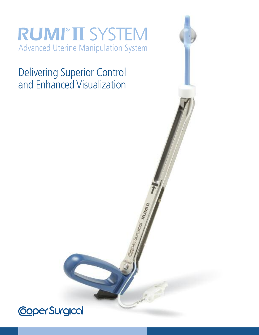### **RUMI®II SYSTEM** Advanced Uterine Manipulation System

Delivering Superior Control and Enhanced Visualization

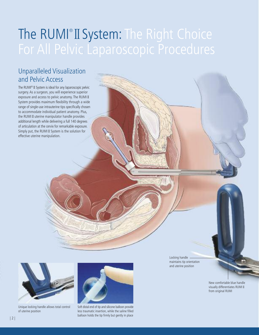### The RUMI®II System: The Right Choice For All Pelvic Laparoscopic Procedures

### Unparalleled Visualization and Pelvic Access

The RUMI ® II System is ideal for any laparoscopic pelvic surgery. As a surgeon, you will experience superior exposure and access to pelvic anatomy. The RUMI II System provides maximum flexibility through a wide range of single-use intrauterine tips specifically chosen to accommodate individual patient anatomy. Plus, the RUMI II uterine manipulator handle provides additional length while delivering a full 140 degrees of articulation at the cervix for remarkable exposure. Simply put, the RUMI II System is the solution for effective uterine manipulation.



Unique locking handle allows total control of uterine position



Soft distal end of tip and silicone balloon provide less traumatic insertion, while the saline filled balloon holds the tip firmly but gently in place

Locking handle maintains tip orientation and uterine position

New comfortable blue handle visually differentiates RUMI II from original RUMI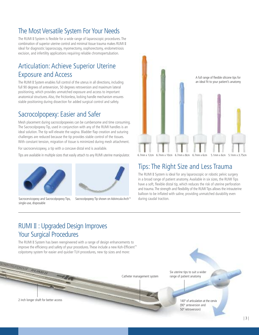### The Most Versatile System For Your Needs

The RUMI II System is flexible for a wide range of laparoscopic procedures. The combination of superior uterine control and minimal tissue trauma makes RUMI II ideal for diagnostic laparoscopy, myomectomy, oophorectomy, endometriosis excision, and infertility applications requiring reliable chromopertubation.

### Articulation: Achieve Superior Uterine Exposure and Access

The RUMI II System enables full control of the uterus in all directions, including full 90 degrees of anteversion, 50 degrees retroversion and maximum lateral positioning, which provides unmatched exposure and access to important anatomical structures. Also, the frictionless, locking handle mechanism ensures stable positioning during dissection for added surgical control and safety.

### Sacrocolpopexy: Easier and Safer

Mesh placement during sacrocolpopexies can be cumbersome and time consuming. The Sacrocolpopexy Tip, used in conjunction with any of the RUMI handles is an ideal solution. The tip will elevate the vagina. Bladder flap creation and suturing challenges are reduced because the tip provides stable control of the tissues. With constant tension, migration of tissue is minimized during mesh attachment.

For sacrocervicopexy, a tip with a concave distal end is available.

Tips are available in multiple sizes that easily attach to any RUMI uterine manipulator.



Sacrocervicopexy and Sacrocolpopexy Tips, single-use, disposable



Sacrocolpopexy Tip shown on Advincula Arch™



6.7mm x 12cm 6.7mm x 10cm 6.7mm x 8cm 6.7mm x 6cm 5.1mm x 6cm 5.1mm x 3.75cm

#### Tips: The Right Size and Less Trauma

The RUMI II System is ideal for any laparoscopic or robotic pelvic surgery in a broad range of patient anatomy. Available in six sizes, the RUMI Tips have a soft, flexible distal tip, which reduces the risk of uterine perforation and trauma. The strength and flexibility of the RUMI Tips allows the intrauterine balloon to be inflated with saline, providing unmatched durability even during caudal traction.

### RUMI II : Upgraded Design Improves Your Surgical Procedures

The RUMI II System has been reengineered with a range of design enhancements to improve the efficiency and safety of your procedures. These include a new Koh-Efficient ™ colpotomy system for easier and quicker TLH procedures, new tip sizes and more:

Catheter management system range of patient anatomy

Six uterine tips to suit a wider

140º of articulation at the cervix (90º anteversion and 50º retroversion)

2 inch longer shaft for better access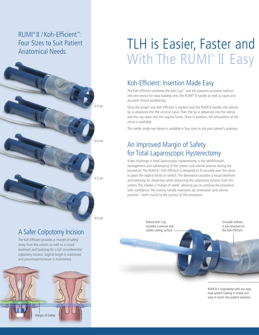### RUMI ® II / Koh-Efficient ™: Four Sizes to Suit Patient Anatomical Needs



### A Safer Colpotomy Incision

The Koh-Efficient provides a 'margin of safety' away from the ureters as well as a visual landmark and backstop for a full circumferential colpotomy incision.Vaginal length is maximized and pneumoperitoneum is maintained.



# TLH is Easier, Faster and With The RUMI® II Easy

### Koh-Efficient: Insertion Made Easy

The Koh-Efficient combines the Koh Cup™ and the pneumo-occlusion balloon into one device for easy loading onto the RUMI ® II handle as well as rapid and accurate clinical positioning.

Once the proper size Koh-Efficient is loaded onto the RUMI II handle, the uterine tip is advanced into the cervical canal. Then the tip is advanced into the uterus and the cup seats into the vaginal fornix. Once in position, full articulation at the cervix is available.

This sterile, single-use device is available in four sizes to suit your patient's anatomy.

### An Improved Margin of Safety for Total Laparoscopic Hysterectomy

A key challenge in total laparoscopic hysterectomy is the identification, management and safekeeping of the ureters and uterine arteries during the procedure. The RUMI II / Koh-Efficient is designed to fit securely over the cervix to place the vaginal fornix on stretch. The delineation provides a visual landmark and backstop for dissection while distancing the colpotomy incision from the ureters. This creates a 'margin of safety' allowing you to continue the procedure with confidence. The locking handle maintains tip orientation and uterine position – both crucial to the success of the procedure.

Robust Koh Cup provides a precise and stable cutting surface

Occluder balloon is pre-attached on the Koh-Efficient

RUMI II is engineered with our easy load system making it simple and easy to insert into patient anatomy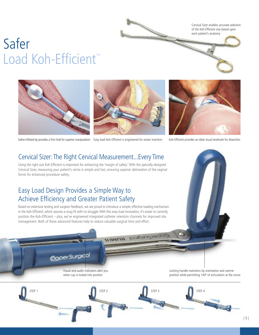Cervical Sizer enables accurate selection of the Koh-Efficient size based upon each patient's anatomy

# Safer Load Koh-Efficient<sup>™</sup>



Saline inflated tip provides a firm hold for superior manipulation Easy load Koh-Efficient is engineered for easier insertion Koh-Efficient provides an ideal visual landmark for dissection

DODGEDIONON BOWILL



Cervical Sizer: The Right Cervical Measurement...Every Time

Using the right size Koh-Efficient is important for enhancing the 'margin of safety.' With the specially-designed Cervical Sizer, measuring your patient's cervix is simple and fast, ensuring superior delineation of the vaginal fornix for enhanced procedure safety.

### Easy Load Design Provides a Simple Way to Achieve Efficiency and Greater Patient Safety

Based on extensive testing and surgeon feedback, we are proud to introduce a simple, effective loading mechanism in the Koh-Efficient, which assures a snug fit with no struggle. With this easy load innovation, it's easier to correctly position the Koh-Efficient – plus, we've engineered integrated catheter retention channels for improved site management. Both of these advanced features help to reduce valuable surgical time and effort.



**STATES OF THE OWNER.** 

Visual and audio indicators alert you when cup is locked into position

STEP 1 STEP 2 STEP 3 STEP 3 STEP 4 STEP 4 STEP 3 STEP 4 STEP 4 STEP 3 STEP 4 STEP 4 STEP 4 STEP 4 STEP 4 STEP 4

Locking handle maintains tip orientation and uterine position while permitting 140º of articulation at the cervix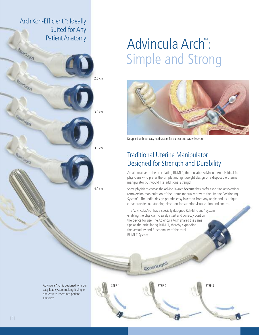

# Advincula Arch™: Simple and Strong



Designed with our easy load system for quicker and easier insertion

### Traditional Uterine Manipulator Designed for Strength and Durability

An alternative to the articulating RUMI II, the reusable Advincula Arch is ideal for physicians who prefer the simple and lightweight design of a disposable uterine manipulator but would like additional strength.

Some physicians choose the Advincula Arch because they prefer executing anteversion/ retroversion manipulation of the uterus manually or with the Uterine Positioning System™. The radial design permits easy insertion from any angle and its unique curve provides outstanding elevation for superior visualization and control.

The Advincula Arch has a specially designed Koh-Efficient ™ system enabling the physician to safely insert and correctly position the device for use. The Advincula Arch shares the same tips as the articulating RUMI II, thereby expanding the versatility and functionality of the total RUMI II System.

copersugad

Advincula Arch is designed with our easy load system making it simple and easy to insert into patient anatomy

STEP 1 STEP 2 STEP 3

| 6 |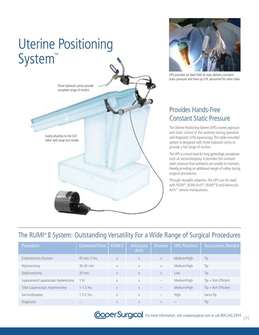



UPS provides an ideal field of view, delivers constant static pressure and frees up O.R. personnel for other tasks

### Provides Hands-Free Constant Static Pressure

The Uterine Positioning System (UPS) creates exposure and static control of the anatomy during operative and diagnostic GYN laparoscopy. This table-mounted system is designed with three hydraulic joints to provide a full range of motion.

The UPS is amust-have for long gynecologic procedures such as sacrocolpopexy. It provides the constant static pressure that assistants are unable to maintain, thereby providing an additional margin of safety during surgical procedures.

Through reusable adaptors, the UPS can be used with RUMI ®, RUMI Arch®, RUMI ® II and Advincula Arch™ uterine manipulators.

### The RUMI ® II System: Outstanding Versatility For a Wide Range of Surgical Procedures

| Procedure                               | <b>Estimated Time</b> | <b>RUMIII</b> | <b>Advincula</b><br>Arch | <b>Kronner</b>                  | <b>UPS Priorities</b> | <b>Accessories Needed</b> |
|-----------------------------------------|-----------------------|---------------|--------------------------|---------------------------------|-----------------------|---------------------------|
| <b>Endometriosis Excision</b>           | 45 min-2 hrs.         | X             | $\times$                 | $\times$                        | Medium/High           | Tip                       |
| Myomectomy                              | 30-45 min.            | X             | $\times$                 | $\times$                        | Medium/High           | Tip                       |
| Oophorectomy                            | 30 min.               | X             | X                        | X                               | Low                   | Tip                       |
| Supracervical Laparoscopic Hysterectomy | 1 hr.                 | $\times$      | X                        | $\overline{\phantom{0}}$        | Medium/High           | $Tip + Koh-Efficient$     |
| Total Laparoscopic Hysterectomy         | $1 - 1.5$ hrs.        | X             | $\times$                 |                                 | Medium/High           | $Tip + Koh-Efficient$     |
| Sacrocolpopexy                          | $.5-2$ hrs.           | $\times$      | X                        | $\hspace{0.1mm}-\hspace{0.1mm}$ | High                  | Sacro Tip                 |
| Diagnostic                              |                       | X             | X                        | X                               |                       | Tip                       |